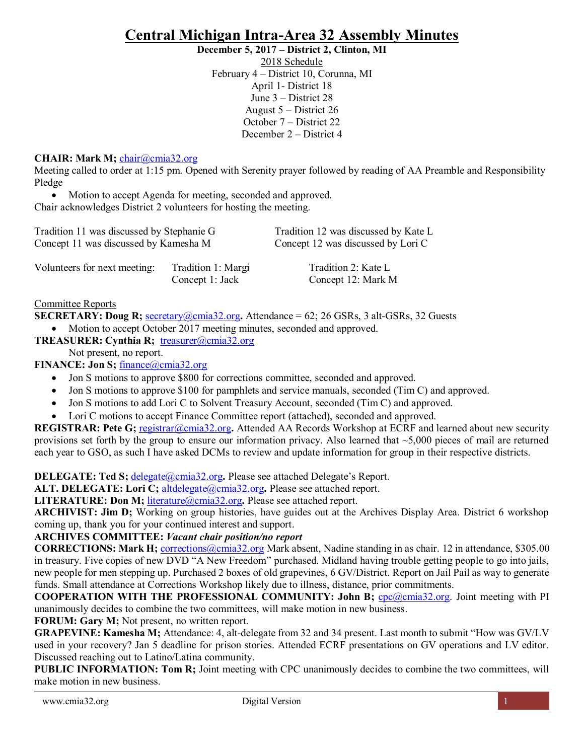# **Central Michigan Intra-Area 32 Assembly Minutes**

**December 5, 2017 – District 2, Clinton, MI**

2018 Schedule February 4 – District 10, Corunna, MI April 1- District 18 June 3 – District 28 August 5 – District 26 October 7 – District 22 December 2 – District 4

# **CHAIR: Mark M;** [chair@cmia32.org](mailto:chair@cmia32.org)

Meeting called to order at 1:15 pm. Opened with Serenity prayer followed by reading of AA Preamble and Responsibility Pledge

• Motion to accept Agenda for meeting, seconded and approved. Chair acknowledges District 2 volunteers for hosting the meeting.

| Tradition 11 was discussed by Stephanie G |                                       | Tradition 12 was discussed by Kate L      |
|-------------------------------------------|---------------------------------------|-------------------------------------------|
| Concept 11 was discussed by Kamesha M     |                                       | Concept 12 was discussed by Lori C        |
| Volunteers for next meeting:              | Tradition 1: Margi<br>Concept 1: Jack | Tradition 2: Kate L<br>Concept 12: Mark M |

Committee Reports

**SECRETARY: Doug R;** [secretary@cmia32.org](mailto:secretary@cmia32.org)**.** Attendance = 62; 26 GSRs, 3 alt-GSRs, 32 Guests

• Motion to accept October 2017 meeting minutes, seconded and approved.

**TREASURER: Cynthia R;** [treasurer@cmia32.org](mailto:treasurer@cmia32.org)

Not present, no report.

**FINANCE: Jon S; [finance@cmia32.org](mailto:finance@cmia32.org)** 

- Jon S motions to approve \$800 for corrections committee, seconded and approved.
- Jon S motions to approve \$100 for pamphlets and service manuals, seconded (Tim C) and approved.
- Jon S motions to add Lori C to Solvent Treasury Account, seconded (Tim C) and approved.
- Lori C motions to accept Finance Committee report (attached), seconded and approved.

**REGISTRAR: Pete G;** [registrar@cmia32.org](mailto:registrar@cmia32.org)**.** Attended AA Records Workshop at ECRF and learned about new security provisions set forth by the group to ensure our information privacy. Also learned that  $\sim$  5,000 pieces of mail are returned each year to GSO, as such I have asked DCMs to review and update information for group in their respective districts.

**DELEGATE: Ted S; [delegate@cmia32.org](mailto:delegate@cmia32.org). Please see attached Delegate's Report.** 

**ALT. DELEGATE: Lori C;** [altdelegate@cmia32.org](mailto:altdelegate@cmia32.org)**.** Please see attached report.

**LITERATURE: Don M;** [literature@cmia32.org](mailto:literature@cmia32.org)**.** Please see attached report.

**ARCHIVIST: Jim D;** Working on group histories, have guides out at the Archives Display Area. District 6 workshop coming up, thank you for your continued interest and support.

## **ARCHIVES COMMITTEE:** *Vacant chair position/no report*

**CORRECTIONS: Mark H;** [corrections@cmia32.org](mailto:corrections@cmia32.org) Mark absent, Nadine standing in as chair. 12 in attendance, \$305.00 in treasury. Five copies of new DVD "A New Freedom" purchased. Midland having trouble getting people to go into jails, new people for men stepping up. Purchased 2 boxes of old grapevines, 6 GV/District. Report on Jail Pail as way to generate funds. Small attendance at Corrections Workshop likely due to illness, distance, prior commitments.

**COOPERATION WITH THE PROFESSIONAL COMMUNITY: John B; cpc**@cmia32.org. Joint meeting with PI unanimously decides to combine the two committees, will make motion in new business.

**FORUM: Gary M; Not present, no written report.** 

**GRAPEVINE: Kamesha M;** Attendance: 4, alt-delegate from 32 and 34 present. Last month to submit "How was GV/LV used in your recovery? Jan 5 deadline for prison stories. Attended ECRF presentations on GV operations and LV editor. Discussed reaching out to Latino/Latina community.

**PUBLIC INFORMATION: Tom R;** Joint meeting with CPC unanimously decides to combine the two committees, will make motion in new business.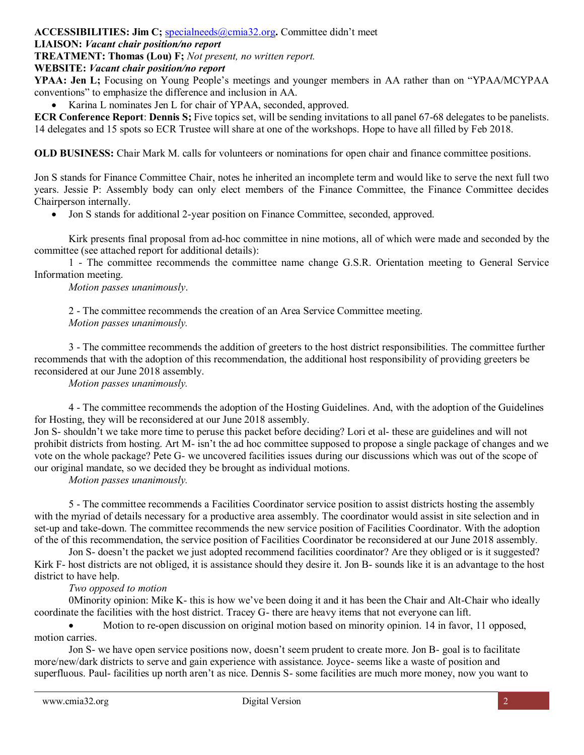#### **ACCESSIBILITIES: Jim C;** [specialneeds@cmia32.org](mailto:specialneeds@cmia32.org)**.** Committee didn't meet

# **LIAISON:** *Vacant chair position/no report*

**TREATMENT: Thomas (Lou) F;** *Not present, no written report.*

#### **WEBSITE:** *Vacant chair position/no report*

**YPAA: Jen L;** Focusing on Young People's meetings and younger members in AA rather than on "YPAA/MCYPAA conventions" to emphasize the difference and inclusion in AA.

• Karina L nominates Jen L for chair of YPAA, seconded, approved.

**ECR Conference Report**: **Dennis S;** Five topics set, will be sending invitations to all panel 67-68 delegates to be panelists. 14 delegates and 15 spots so ECR Trustee will share at one of the workshops. Hope to have all filled by Feb 2018.

**OLD BUSINESS:** Chair Mark M. calls for volunteers or nominations for open chair and finance committee positions.

Jon S stands for Finance Committee Chair, notes he inherited an incomplete term and would like to serve the next full two years. Jessie P: Assembly body can only elect members of the Finance Committee, the Finance Committee decides Chairperson internally.

• Jon S stands for additional 2-year position on Finance Committee, seconded, approved.

Kirk presents final proposal from ad-hoc committee in nine motions, all of which were made and seconded by the committee (see attached report for additional details):

1 - The committee recommends the committee name change G.S.R. Orientation meeting to General Service Information meeting.

*Motion passes unanimously*.

2 - The committee recommends the creation of an Area Service Committee meeting. *Motion passes unanimously.*

3 - The committee recommends the addition of greeters to the host district responsibilities. The committee further recommends that with the adoption of this recommendation, the additional host responsibility of providing greeters be reconsidered at our June 2018 assembly.

*Motion passes unanimously.*

4 - The committee recommends the adoption of the Hosting Guidelines. And, with the adoption of the Guidelines for Hosting, they will be reconsidered at our June 2018 assembly.

Jon S- shouldn't we take more time to peruse this packet before deciding? Lori et al- these are guidelines and will not prohibit districts from hosting. Art M- isn't the ad hoc committee supposed to propose a single package of changes and we vote on the whole package? Pete G- we uncovered facilities issues during our discussions which was out of the scope of our original mandate, so we decided they be brought as individual motions.

*Motion passes unanimously.*

5 - The committee recommends a Facilities Coordinator service position to assist districts hosting the assembly with the myriad of details necessary for a productive area assembly. The coordinator would assist in site selection and in set-up and take-down. The committee recommends the new service position of Facilities Coordinator. With the adoption of the of this recommendation, the service position of Facilities Coordinator be reconsidered at our June 2018 assembly.

Jon S- doesn't the packet we just adopted recommend facilities coordinator? Are they obliged or is it suggested? Kirk F- host districts are not obliged, it is assistance should they desire it. Jon B- sounds like it is an advantage to the host district to have help.

## *Two opposed to motion*

0Minority opinion: Mike K- this is how we've been doing it and it has been the Chair and Alt-Chair who ideally coordinate the facilities with the host district. Tracey G- there are heavy items that not everyone can lift.

• Motion to re-open discussion on original motion based on minority opinion. 14 in favor, 11 opposed, motion carries.

Jon S- we have open service positions now, doesn't seem prudent to create more. Jon B- goal is to facilitate more/new/dark districts to serve and gain experience with assistance. Joyce- seems like a waste of position and superfluous. Paul- facilities up north aren't as nice. Dennis S- some facilities are much more money, now you want to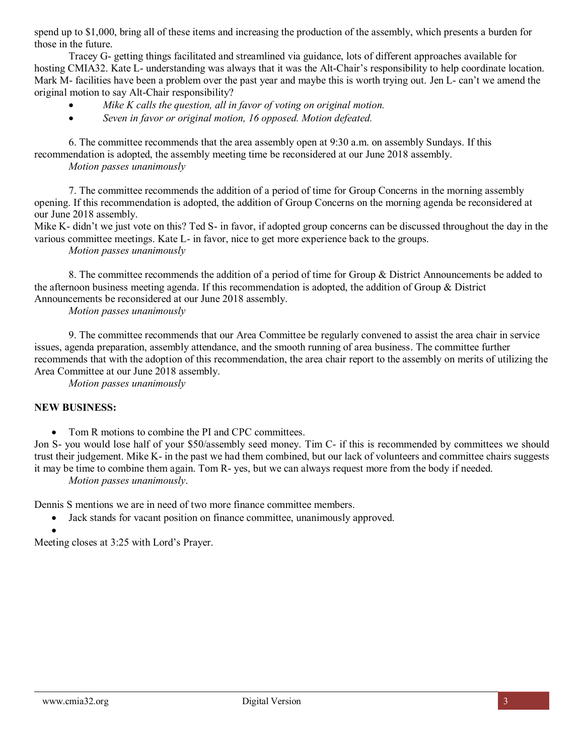spend up to \$1,000, bring all of these items and increasing the production of the assembly, which presents a burden for those in the future.

Tracey G- getting things facilitated and streamlined via guidance, lots of different approaches available for hosting CMIA32. Kate L- understanding was always that it was the Alt-Chair's responsibility to help coordinate location. Mark M- facilities have been a problem over the past year and maybe this is worth trying out. Jen L- can't we amend the original motion to say Alt-Chair responsibility?

- *Mike K calls the question, all in favor of voting on original motion.*
- *Seven in favor or original motion, 16 opposed. Motion defeated.*

6. The committee recommends that the area assembly open at 9:30 a.m. on assembly Sundays. If this recommendation is adopted, the assembly meeting time be reconsidered at our June 2018 assembly.

*Motion passes unanimously*

7. The committee recommends the addition of a period of time for Group Concerns in the morning assembly opening. If this recommendation is adopted, the addition of Group Concerns on the morning agenda be reconsidered at our June 2018 assembly.

Mike K- didn't we just vote on this? Ted S- in favor, if adopted group concerns can be discussed throughout the day in the various committee meetings. Kate L- in favor, nice to get more experience back to the groups.

*Motion passes unanimously*

8. The committee recommends the addition of a period of time for Group & District Announcements be added to the afternoon business meeting agenda. If this recommendation is adopted, the addition of Group & District Announcements be reconsidered at our June 2018 assembly.

*Motion passes unanimously*

9. The committee recommends that our Area Committee be regularly convened to assist the area chair in service issues, agenda preparation, assembly attendance, and the smooth running of area business. The committee further recommends that with the adoption of this recommendation, the area chair report to the assembly on merits of utilizing the Area Committee at our June 2018 assembly.

*Motion passes unanimously*

## **NEW BUSINESS:**

• Tom R motions to combine the PI and CPC committees.

Jon S- you would lose half of your \$50/assembly seed money. Tim C- if this is recommended by committees we should trust their judgement. Mike K- in the past we had them combined, but our lack of volunteers and committee chairs suggests it may be time to combine them again. Tom R- yes, but we can always request more from the body if needed. *Motion passes unanimously*.

Dennis S mentions we are in need of two more finance committee members.

• Jack stands for vacant position on finance committee, unanimously approved.

• Meeting closes at 3:25 with Lord's Prayer.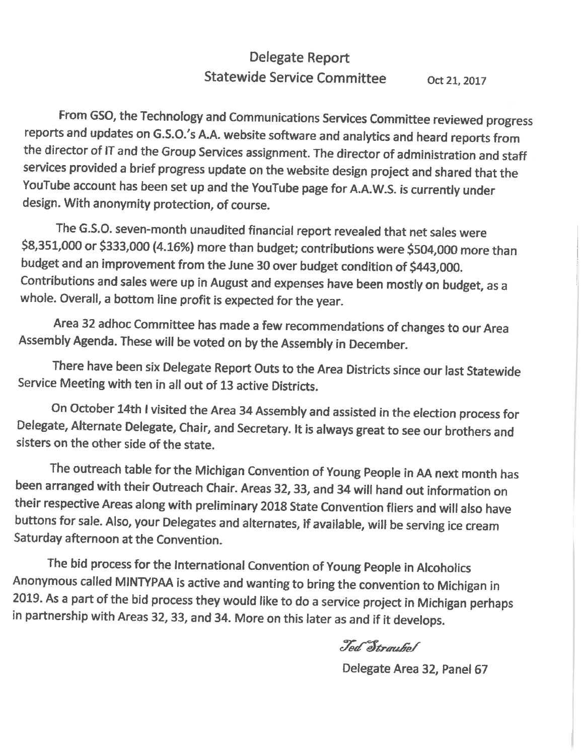#### Delegate Report **Statewide Service Committee** Oct 21, 2017

From GSO, the Technology and Communications Services Committee reviewed progress reports and updates on G.S.O.'s A.A. website software and analytics and heard reports from the director of IT and the Group Services assignment. The director of administration and staff services provided a brief progress update on the website design project and shared that the YouTube account has been set up and the YouTube page for A.A.W.S. is currently under design. With anonymity protection, of course.

The G.S.O. seven-month unaudited financial report revealed that net sales were \$8,351,000 or \$333,000 (4.16%) more than budget; contributions were \$504,000 more than budget and an improvement from the June 30 over budget condition of \$443,000. Contributions and sales were up in August and expenses have been mostly on budget, as a whole. Overall, a bottom line profit is expected for the year.

Area 32 adhoc Committee has made a few recommendations of changes to our Area Assembly Agenda. These will be voted on by the Assembly in December.

There have been six Delegate Report Outs to the Area Districts since our last Statewide Service Meeting with ten in all out of 13 active Districts.

On October 14th I visited the Area 34 Assembly and assisted in the election process for Delegate, Alternate Delegate, Chair, and Secretary. It is always great to see our brothers and sisters on the other side of the state.

The outreach table for the Michigan Convention of Young People in AA next month has been arranged with their Outreach Chair. Areas 32, 33, and 34 will hand out information on their respective Areas along with preliminary 2018 State Convention fliers and will also have buttons for sale. Also, your Delegates and alternates, if available, will be serving ice cream Saturday afternoon at the Convention.

The bid process for the International Convention of Young People in Alcoholics Anonymous called MINTYPAA is active and wanting to bring the convention to Michigan in 2019. As a part of the bid process they would like to do a service project in Michigan perhaps in partnership with Areas 32, 33, and 34. More on this later as and if it develops.

Ted Straubol

Delegate Area 32, Panel 67